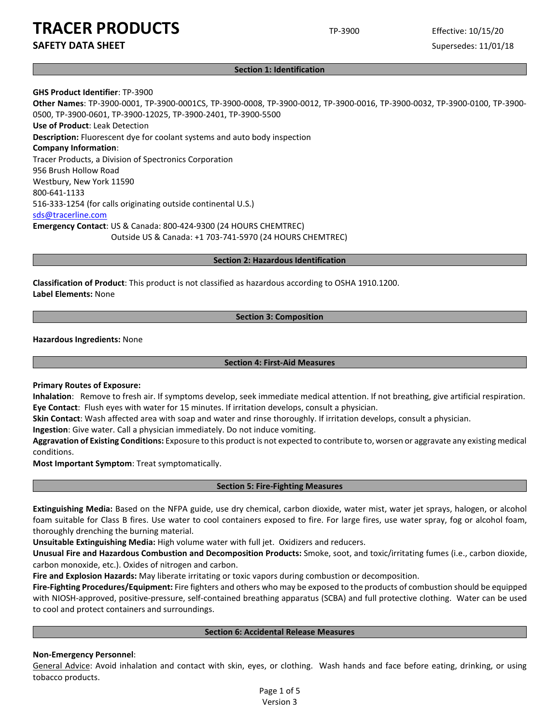**SAFETY DATA SHEET** SUPERFOUR SUPERFOUR SUPERFOUR SUPERFOUR SUPERFOUR SUPERFOUR SUPERFOUR SUPERFOUR SUPERFOUR SUPERFOUR SUPERFOUR SUPERFOUR SUPERFOUR SUPERFOUR SUPERFOUR SUPERFOUR SUPERFOUR SUPERFOUR SUPERFOUR SUPERFOUR SU

#### **Section 1: Identification**

### **GHS Product Identifier**: TP-3900

**Other Names**: TP-3900-0001, TP-3900-0001CS, TP-3900-0008, TP-3900-0012, TP-3900-0016, TP-3900-0032, TP-3900-0100, TP-3900- 0500, TP-3900-0601, TP-3900-12025, TP-3900-2401, TP-3900-5500 **Use of Product**: Leak Detection **Description:** Fluorescent dye for coolant systems and auto body inspection **Company Information**: Tracer Products, a Division of Spectronics Corporation 956 Brush Hollow Road Westbury, New York 11590 800-641-1133 516-333-1254 (for calls originating outside continental U.S.) [sds@tracerline.com](mailto:sds@tracerline.com) **Emergency Contact**: US & Canada: 800-424-9300 (24 HOURS CHEMTREC) Outside US & Canada: +1 703-741-5970 (24 HOURS CHEMTREC)

**Section 2: Hazardous Identification**

**Classification of Product**: This product is not classified as hazardous according to OSHA 1910.1200. **Label Elements:** None

**Section 3: Composition**

### **Hazardous Ingredients:** None

**Section 4: First-Aid Measures**

### **Primary Routes of Exposure:**

**Inhalation**: Remove to fresh air. If symptoms develop, seek immediate medical attention. If not breathing, give artificial respiration. **Eye Contact**: Flush eyes with water for 15 minutes. If irritation develops, consult a physician.

**Skin Contact**: Wash affected area with soap and water and rinse thoroughly. If irritation develops, consult a physician.

**Ingestion**: Give water. Call a physician immediately. Do not induce vomiting.

**Aggravation of Existing Conditions:** Exposure to this product is not expected to contribute to, worsen or aggravate any existing medical conditions.

**Most Important Symptom**: Treat symptomatically.

### **Section 5: Fire-Fighting Measures**

**Extinguishing Media:** Based on the NFPA guide, use dry chemical, carbon dioxide, water mist, water jet sprays, halogen, or alcohol foam suitable for Class B fires. Use water to cool containers exposed to fire. For large fires, use water spray, fog or alcohol foam, thoroughly drenching the burning material.

**Unsuitable Extinguishing Media:** High volume water with full jet. Oxidizers and reducers.

**Unusual Fire and Hazardous Combustion and Decomposition Products:** Smoke, soot, and toxic/irritating fumes (i.e., carbon dioxide, carbon monoxide, etc.). Oxides of nitrogen and carbon.

**Fire and Explosion Hazards:** May liberate irritating or toxic vapors during combustion or decomposition.

**Fire-Fighting Procedures/Equipment:** Fire fighters and others who may be exposed to the products of combustion should be equipped with NIOSH-approved, positive-pressure, self-contained breathing apparatus (SCBA) and full protective clothing. Water can be used to cool and protect containers and surroundings.

### **Section 6: Accidental Release Measures**

### **Non-Emergency Personnel**:

General Advice: Avoid inhalation and contact with skin, eyes, or clothing. Wash hands and face before eating, drinking, or using tobacco products.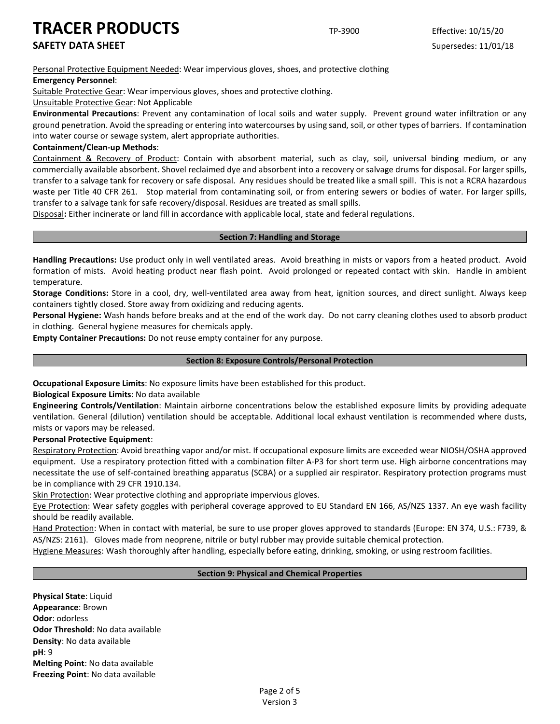**SAFETY DATA SHEET** SUPERFOUR SUPERFOUR SUPERFOUR SUPERFOUR SUPERFOUR SUPERFOUR SUPERFOUR SUPERFOUR SUPERFOUR SUPERFOUR SUPERFOUR SUPERFOUR SUPERFOUR SUPERFOUR SUPERFOUR SUPERFOUR SUPERFOUR SUPERFOUR SUPERFOUR SUPERFOUR SU

Personal Protective Equipment Needed: Wear impervious gloves, shoes, and protective clothing

### **Emergency Personnel**:

Suitable Protective Gear: Wear impervious gloves, shoes and protective clothing.

Unsuitable Protective Gear: Not Applicable

**Environmental Precautions**: Prevent any contamination of local soils and water supply. Prevent ground water infiltration or any ground penetration. Avoid the spreading or entering into watercourses by using sand, soil, or other types of barriers. If contamination into water course or sewage system, alert appropriate authorities.

### **Containment/Clean-up Methods**:

Containment & Recovery of Product: Contain with absorbent material, such as clay, soil, universal binding medium, or any commercially available absorbent. Shovel reclaimed dye and absorbent into a recovery or salvage drums for disposal. For larger spills, transfer to a salvage tank for recovery or safe disposal. Any residues should be treated like a small spill. This is not a RCRA hazardous waste per Title 40 CFR 261. Stop material from contaminating soil, or from entering sewers or bodies of water. For larger spills, transfer to a salvage tank for safe recovery/disposal. Residues are treated as small spills.

Disposal**:** Either incinerate or land fill in accordance with applicable local, state and federal regulations.

# **Section 7: Handling and Storage**

**Handling Precautions:** Use product only in well ventilated areas. Avoid breathing in mists or vapors from a heated product. Avoid formation of mists. Avoid heating product near flash point. Avoid prolonged or repeated contact with skin. Handle in ambient temperature.

**Storage Conditions:** Store in a cool, dry, well-ventilated area away from heat, ignition sources, and direct sunlight. Always keep containers tightly closed. Store away from oxidizing and reducing agents.

**Personal Hygiene:** Wash hands before breaks and at the end of the work day. Do not carry cleaning clothes used to absorb product in clothing. General hygiene measures for chemicals apply.

**Empty Container Precautions:** Do not reuse empty container for any purpose.

### **Section 8: Exposure Controls/Personal Protection**

**Occupational Exposure Limits**: No exposure limits have been established for this product.

**Biological Exposure Limits**: No data available

**Engineering Controls/Ventilation**: Maintain airborne concentrations below the established exposure limits by providing adequate ventilation. General (dilution) ventilation should be acceptable. Additional local exhaust ventilation is recommended where dusts, mists or vapors may be released.

### **Personal Protective Equipment**:

Respiratory Protection: Avoid breathing vapor and/or mist. If occupational exposure limits are exceeded wear NIOSH/OSHA approved equipment. Use a respiratory protection fitted with a combination filter A-P3 for short term use. High airborne concentrations may necessitate the use of self-contained breathing apparatus (SCBA) or a supplied air respirator. Respiratory protection programs must be in compliance with 29 CFR 1910.134.

Skin Protection: Wear protective clothing and appropriate impervious gloves.

Eye Protection: Wear safety goggles with peripheral coverage approved to EU Standard EN 166, AS/NZS 1337. An eye wash facility should be readily available.

Hand Protection: When in contact with material, be sure to use proper gloves approved to standards (Europe: EN 374, U.S.: F739, & AS/NZS: 2161). Gloves made from neoprene, nitrile or butyl rubber may provide suitable chemical protection.

Hygiene Measures: Wash thoroughly after handling, especially before eating, drinking, smoking, or using restroom facilities.

### **Section 9: Physical and Chemical Properties**

**Physical State**: Liquid **Appearance**: Brown **Odor**: odorless **Odor Threshold**: No data available **Density**: No data available **pH**: 9 **Melting Point**: No data available **Freezing Point**: No data available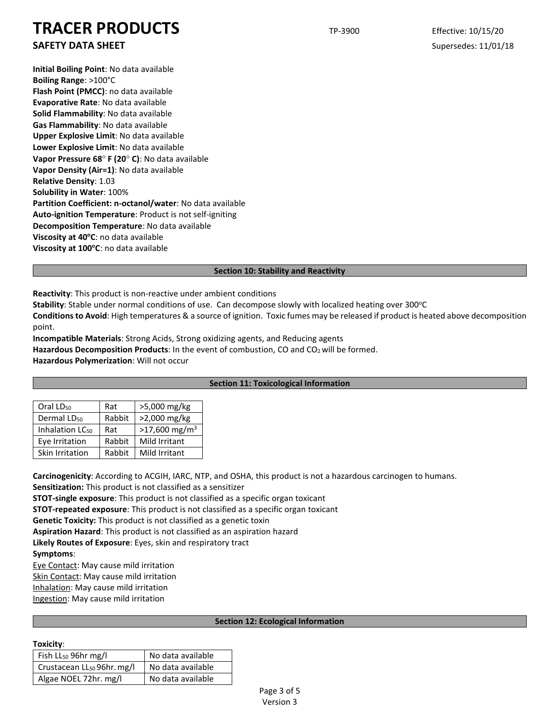# **SAFETY DATA SHEET** SUPERFOUR SUPERFOUR SUPERFOUR SUPERFOUR SUPERFOUR SUPERFOUR SUPERFOUR SUPERFOUR SUPERFOUR SUPERFOUR SUPERFOUR SUPERFOUR SUPERFOUR SUPERFOUR SUPERFOUR SUPERFOUR SUPERFOUR SUPERFOUR SUPERFOUR SUPERFOUR SU

**Initial Boiling Point**: No data available **Boiling Range**: >100°C **Flash Point (PMCC)**: no data available **Evaporative Rate**: No data available **Solid Flammability**: No data available **Gas Flammability**: No data available **Upper Explosive Limit**: No data available **Lower Explosive Limit**: No data available **Vapor Pressure 68**° **F (20**° **C)**: No data available **Vapor Density (Air=1)**: No data available **Relative Density**: 1.03 **Solubility in Water**: 100% **Partition Coefficient: n-octanol/water**: No data available **Auto-ignition Temperature**: Product is not self-igniting **Decomposition Temperature**: No data available **Viscosity at 40°C**: no data available **Viscosity at 100°C**: no data available

### **Section 10: Stability and Reactivity**

**Reactivity**: This product is non-reactive under ambient conditions

Stability: Stable under normal conditions of use. Can decompose slowly with localized heating over 300°C

**Conditions to Avoid**: High temperatures & a source of ignition. Toxic fumes may be released if product is heated above decomposition point.

**Incompatible Materials**: Strong Acids, Strong oxidizing agents, and Reducing agents Hazardous Decomposition Products: In the event of combustion, CO and CO<sub>2</sub> will be formed. **Hazardous Polymerization**: Will not occur

### **Section 11: Toxicological Information**

| Oral LD <sub>50</sub>       | Rat    | >5,000 mg/kg                |
|-----------------------------|--------|-----------------------------|
| Dermal LD <sub>50</sub>     | Rabbit | >2,000 mg/kg                |
| Inhalation LC <sub>50</sub> | Rat    | $>17,600$ mg/m <sup>3</sup> |
| Eye Irritation              | Rabbit | Mild Irritant               |
| Skin Irritation             | Rabbit | Mild Irritant               |

**Carcinogenicity**: According to ACGIH, IARC, NTP, and OSHA, this product is not a hazardous carcinogen to humans. **Sensitization:** This product is not classified as a sensitizer **STOT-single exposure**: This product is not classified as a specific organ toxicant **STOT-repeated exposure**: This product is not classified as a specific organ toxicant **Genetic Toxicity:** This product is not classified as a genetic toxin **Aspiration Hazard**: This product is not classified as an aspiration hazard **Likely Routes of Exposure**: Eyes, skin and respiratory tract **Symptoms**: Eye Contact: May cause mild irritation

Skin Contact: May cause mild irritation Inhalation: May cause mild irritation Ingestion: May cause mild irritation

### **Section 12: Ecological Information**

### **Toxicity**:

| Fish LL <sub>50</sub> 96hr mg/l        | No data available |
|----------------------------------------|-------------------|
| Crustacean LL <sub>50</sub> 96hr. mg/l | No data available |
| Algae NOEL 72hr. mg/l                  | No data available |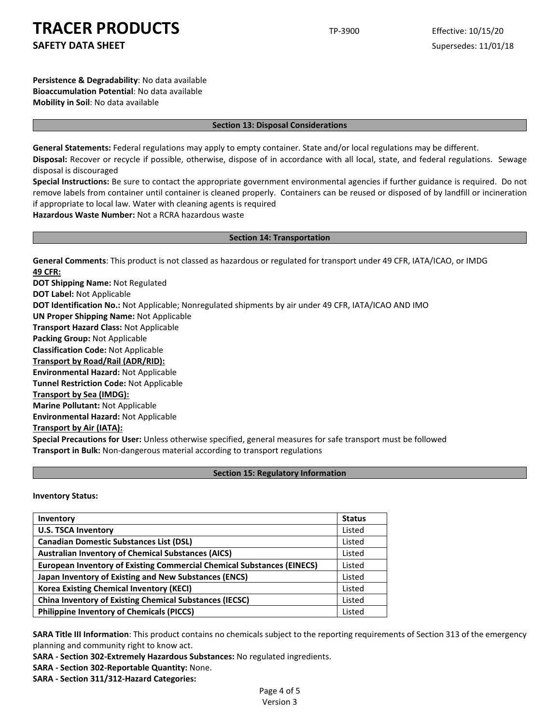**SAFETY DATA SHEET** SUPERFOUR SUPERFOUR SUPERFOUR SUPERFOUR SUPERFOUR SUPERFOUR SUPERFOUR SUPERFOUR SUPERFOUR SUPERFOUR SUPERFOUR SUPERFOUR SUPERFOUR SUPERFOUR SUPERFOUR SUPERFOUR SUPERFOUR SUPERFOUR SUPERFOUR SUPERFOUR SU

**Persistence & Degradability**: No data available **Bioaccumulation Potential**: No data available **Mobility in Soil**: No data available

#### **Section 13: Disposal Considerations**

**General Statements:** Federal regulations may apply to empty container. State and/or local regulations may be different.

**Disposal:** Recover or recycle if possible, otherwise, dispose of in accordance with all local, state, and federal regulations. Sewage disposal is discouraged

**Special Instructions:** Be sure to contact the appropriate government environmental agencies if further guidance is required. Do not remove labels from container until container is cleaned properly. Containers can be reused or disposed of by landfill or incineration if appropriate to local law. Water with cleaning agents is required

**Hazardous Waste Number:** Not a RCRA hazardous waste

#### **Section 14: Transportation**

**General Comments**: This product is not classed as hazardous or regulated for transport under 49 CFR, IATA/ICAO, or IMDG **49 CFR:**

**DOT Shipping Name:** Not Regulated **DOT Label:** Not Applicable **DOT Identification No.:** Not Applicable; Nonregulated shipments by air under 49 CFR, IATA/ICAO AND IMO **UN Proper Shipping Name:** Not Applicable **Transport Hazard Class:** Not Applicable **Packing Group:** Not Applicable **Classification Code:** Not Applicable **Transport by Road/Rail (ADR/RID): Environmental Hazard:** Not Applicable **Tunnel Restriction Code:** Not Applicable **Transport by Sea (IMDG): Marine Pollutant:** Not Applicable **Environmental Hazard:** Not Applicable **Transport by Air (IATA): Special Precautions for User:** Unless otherwise specified, general measures for safe transport must be followed

**Transport in Bulk:** Non-dangerous material according to transport regulations

### **Section 15: Regulatory Information**

**Inventory Status:** 

| Inventory                                                                     | <b>Status</b> |
|-------------------------------------------------------------------------------|---------------|
| <b>U.S. TSCA Inventory</b>                                                    | Listed        |
| <b>Canadian Domestic Substances List (DSL)</b>                                | Listed        |
| <b>Australian Inventory of Chemical Substances (AICS)</b>                     | Listed        |
| <b>European Inventory of Existing Commercial Chemical Substances (EINECS)</b> | Listed        |
| Japan Inventory of Existing and New Substances (ENCS)                         | Listed        |
| <b>Korea Existing Chemical Inventory (KECI)</b>                               | Listed        |
| <b>China Inventory of Existing Chemical Substances (IECSC)</b>                | Listed        |
| <b>Philippine Inventory of Chemicals (PICCS)</b>                              | Listed        |

**SARA Title III Information**: This product contains no chemicals subject to the reporting requirements of Section 313 of the emergency planning and community right to know act.

**SARA - Section 302-Extremely Hazardous Substances:** No regulated ingredients.

**SARA - Section 302-Reportable Quantity:** None.

**SARA - Section 311/312-Hazard Categories:**